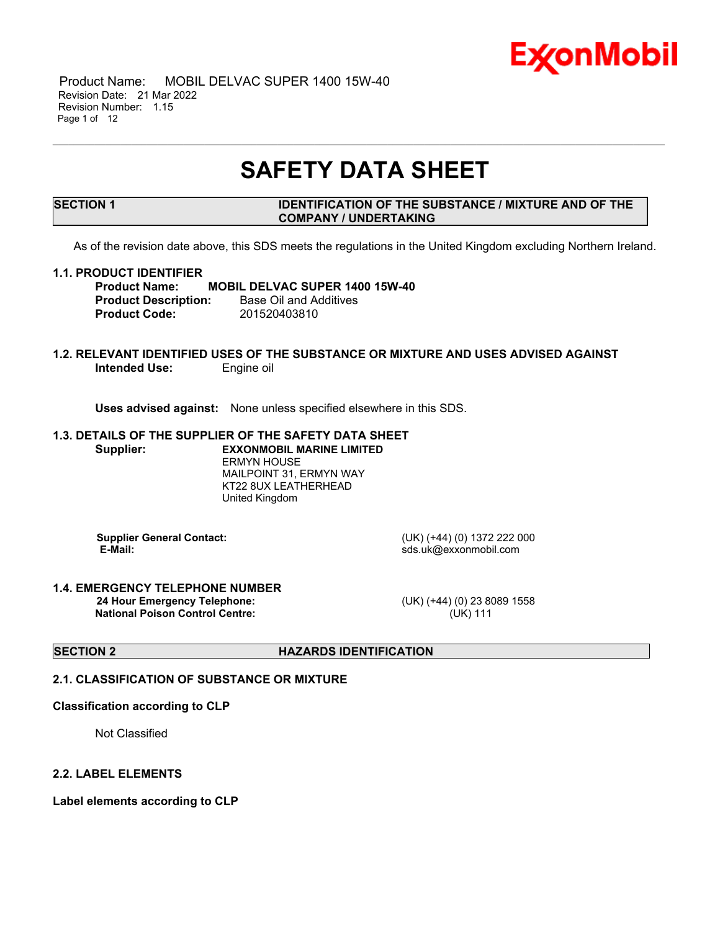

 Product Name: MOBIL DELVAC SUPER 1400 15W-40 Revision Date: 21 Mar 2022 Revision Number: 1.15 Page 1 of 12

## **SAFETY DATA SHEET**

\_\_\_\_\_\_\_\_\_\_\_\_\_\_\_\_\_\_\_\_\_\_\_\_\_\_\_\_\_\_\_\_\_\_\_\_\_\_\_\_\_\_\_\_\_\_\_\_\_\_\_\_\_\_\_\_\_\_\_\_\_\_\_\_\_\_\_\_\_\_\_\_\_\_\_\_\_\_\_\_\_\_\_\_\_\_\_\_\_\_\_\_\_\_\_\_\_\_\_\_\_\_\_\_\_\_\_\_\_\_\_\_\_\_\_\_\_

#### **SECTION 1 IDENTIFICATION OF THE SUBSTANCE / MIXTURE AND OF THE COMPANY / UNDERTAKING**

As of the revision date above, this SDS meets the regulations in the United Kingdom excluding Northern Ireland.

#### **1.1. PRODUCT IDENTIFIER**

**Product Name: MOBIL DELVAC SUPER 1400 15W-40 Product Description:** Base Oil and Additives **Product Code:** 201520403810

#### **1.2. RELEVANT IDENTIFIED USES OF THE SUBSTANCE OR MIXTURE AND USES ADVISED AGAINST Intended Use:** Engine oil

**Uses advised against:** None unless specified elsewhere in this SDS.

## **1.3. DETAILS OF THE SUPPLIER OF THE SAFETY DATA SHEET Supplier: EXXONMOBIL MARINE LIMITED** ERMYN HOUSE

MAILPOINT 31, ERMYN WAY KT22 8UX LEATHERHEAD United Kingdom

**Supplier General Contact:** (UK) (+44) (0) 1372 222 000

**E-Mail:** sds.uk@exxonmobil.com

#### **1.4. EMERGENCY TELEPHONE NUMBER 24 Hour Emergency Telephone:** (UK) (+44) (0) 23 8089 1558 **National Poison Control Centre:** (UK) 111

**SECTION 2 HAZARDS IDENTIFICATION**

#### **2.1. CLASSIFICATION OF SUBSTANCE OR MIXTURE**

#### **Classification according to CLP**

Not Classified

#### **2.2. LABEL ELEMENTS**

**Label elements according to CLP**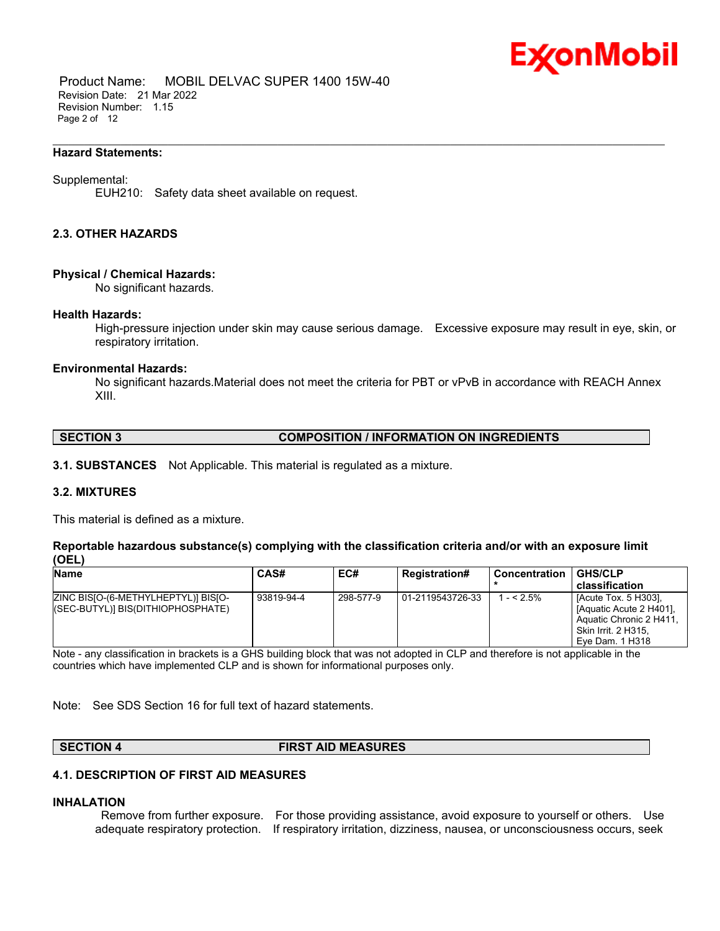

 Product Name: MOBIL DELVAC SUPER 1400 15W-40 Revision Date: 21 Mar 2022 Revision Number: 1.15 Page 2 of 12

#### **Hazard Statements:**

#### Supplemental:

EUH210: Safety data sheet available on request.

#### **2.3. OTHER HAZARDS**

#### **Physical / Chemical Hazards:**

No significant hazards.

#### **Health Hazards:**

High-pressure injection under skin may cause serious damage. Excessive exposure may result in eye, skin, or respiratory irritation.

\_\_\_\_\_\_\_\_\_\_\_\_\_\_\_\_\_\_\_\_\_\_\_\_\_\_\_\_\_\_\_\_\_\_\_\_\_\_\_\_\_\_\_\_\_\_\_\_\_\_\_\_\_\_\_\_\_\_\_\_\_\_\_\_\_\_\_\_\_\_\_\_\_\_\_\_\_\_\_\_\_\_\_\_\_\_\_\_\_\_\_\_\_\_\_\_\_\_\_\_\_\_\_\_\_\_\_\_\_\_\_\_\_\_\_\_\_

#### **Environmental Hazards:**

No significant hazards.Material does not meet the criteria for PBT or vPvB in accordance with REACH Annex XIII.

#### **SECTION 3 COMPOSITION / INFORMATION ON INGREDIENTS**

**3.1. SUBSTANCES** Not Applicable. This material is regulated as a mixture.

#### **3.2. MIXTURES**

This material is defined as a mixture.

#### **Reportable hazardous substance(s) complying with the classification criteria and/or with an exposure limit (OEL)**

| <b>Name</b>                                                              | CAS#       | EC#       | <b>Registration#</b> | Concentration | <b>GHS/CLP</b>                                                                                                              |
|--------------------------------------------------------------------------|------------|-----------|----------------------|---------------|-----------------------------------------------------------------------------------------------------------------------------|
|                                                                          |            |           |                      |               | classification                                                                                                              |
| ZINC BISIO-(6-METHYLHEPTYL)] BISIO-<br>(SEC-BUTYL)] BIS(DITHIOPHOSPHATE) | 93819-94-4 | 298-577-9 | 01-2119543726-33     | $- < 2.5\%$   | [Acute Tox. 5 H303].<br>[Aquatic Acute 2 H401].<br>Aquatic Chronic 2 H411.<br><b>Skin Irrit. 2 H315.</b><br>Eve Dam. 1 H318 |

Note - any classification in brackets is a GHS building block that was not adopted in CLP and therefore is not applicable in the countries which have implemented CLP and is shown for informational purposes only.

Note: See SDS Section 16 for full text of hazard statements.

#### **SECTION 4 FIRST AID MEASURES**

#### **4.1. DESCRIPTION OF FIRST AID MEASURES**

#### **INHALATION**

Remove from further exposure. For those providing assistance, avoid exposure to yourself or others. Use adequate respiratory protection. If respiratory irritation, dizziness, nausea, or unconsciousness occurs, seek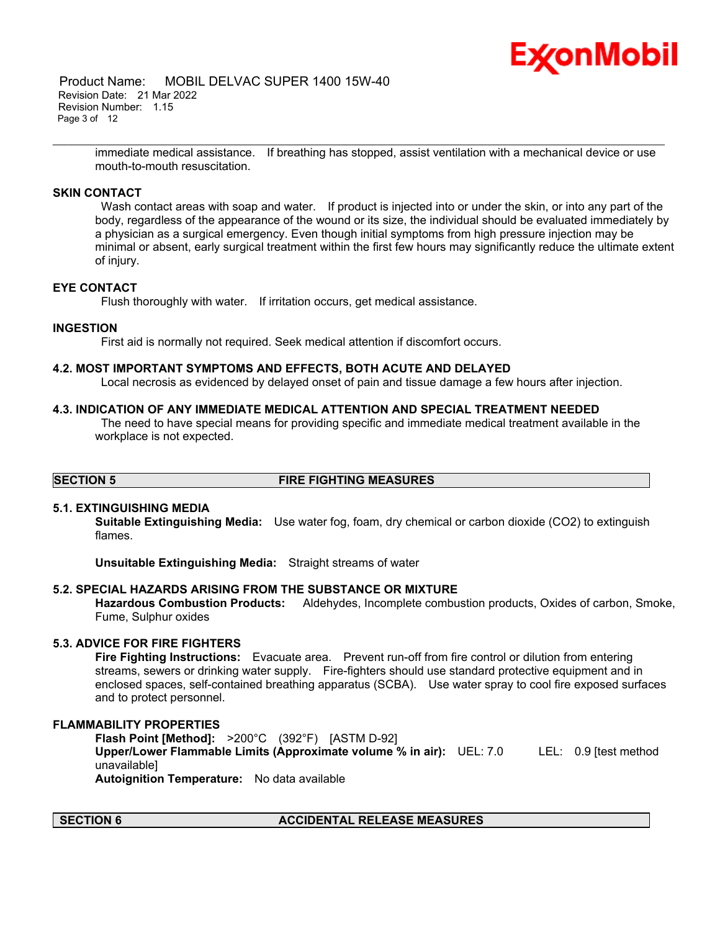

 Product Name: MOBIL DELVAC SUPER 1400 15W-40 Revision Date: 21 Mar 2022 Revision Number: 1.15 Page 3 of 12

> immediate medical assistance. If breathing has stopped, assist ventilation with a mechanical device or use mouth-to-mouth resuscitation.

\_\_\_\_\_\_\_\_\_\_\_\_\_\_\_\_\_\_\_\_\_\_\_\_\_\_\_\_\_\_\_\_\_\_\_\_\_\_\_\_\_\_\_\_\_\_\_\_\_\_\_\_\_\_\_\_\_\_\_\_\_\_\_\_\_\_\_\_\_\_\_\_\_\_\_\_\_\_\_\_\_\_\_\_\_\_\_\_\_\_\_\_\_\_\_\_\_\_\_\_\_\_\_\_\_\_\_\_\_\_\_\_\_\_\_\_\_

#### **SKIN CONTACT**

Wash contact areas with soap and water. If product is injected into or under the skin, or into any part of the body, regardless of the appearance of the wound or its size, the individual should be evaluated immediately by a physician as a surgical emergency. Even though initial symptoms from high pressure injection may be minimal or absent, early surgical treatment within the first few hours may significantly reduce the ultimate extent of injury.

#### **EYE CONTACT**

Flush thoroughly with water. If irritation occurs, get medical assistance.

#### **INGESTION**

First aid is normally not required. Seek medical attention if discomfort occurs.

#### **4.2. MOST IMPORTANT SYMPTOMS AND EFFECTS, BOTH ACUTE AND DELAYED**

Local necrosis as evidenced by delayed onset of pain and tissue damage a few hours after injection.

#### **4.3. INDICATION OF ANY IMMEDIATE MEDICAL ATTENTION AND SPECIAL TREATMENT NEEDED**

The need to have special means for providing specific and immediate medical treatment available in the workplace is not expected.

#### **SECTION 5 FIRE FIGHTING MEASURES**

#### **5.1. EXTINGUISHING MEDIA**

**Suitable Extinguishing Media:** Use water fog, foam, dry chemical or carbon dioxide (CO2) to extinguish flames.

**Unsuitable Extinguishing Media:** Straight streams of water

#### **5.2. SPECIAL HAZARDS ARISING FROM THE SUBSTANCE OR MIXTURE**

**Hazardous Combustion Products:** Aldehydes, Incomplete combustion products, Oxides of carbon, Smoke, Fume, Sulphur oxides

#### **5.3. ADVICE FOR FIRE FIGHTERS**

**Fire Fighting Instructions:** Evacuate area. Prevent run-off from fire control or dilution from entering streams, sewers or drinking water supply. Fire-fighters should use standard protective equipment and in enclosed spaces, self-contained breathing apparatus (SCBA). Use water spray to cool fire exposed surfaces and to protect personnel.

#### **FLAMMABILITY PROPERTIES**

**Flash Point [Method]:** >200°C (392°F) [ASTM D-92]

**Upper/Lower Flammable Limits (Approximate volume % in air):** UEL: 7.0 LEL: 0.9 [test method unavailable]

**Autoignition Temperature:** No data available

#### **SECTION 6 ACCIDENTAL RELEASE MEASURES**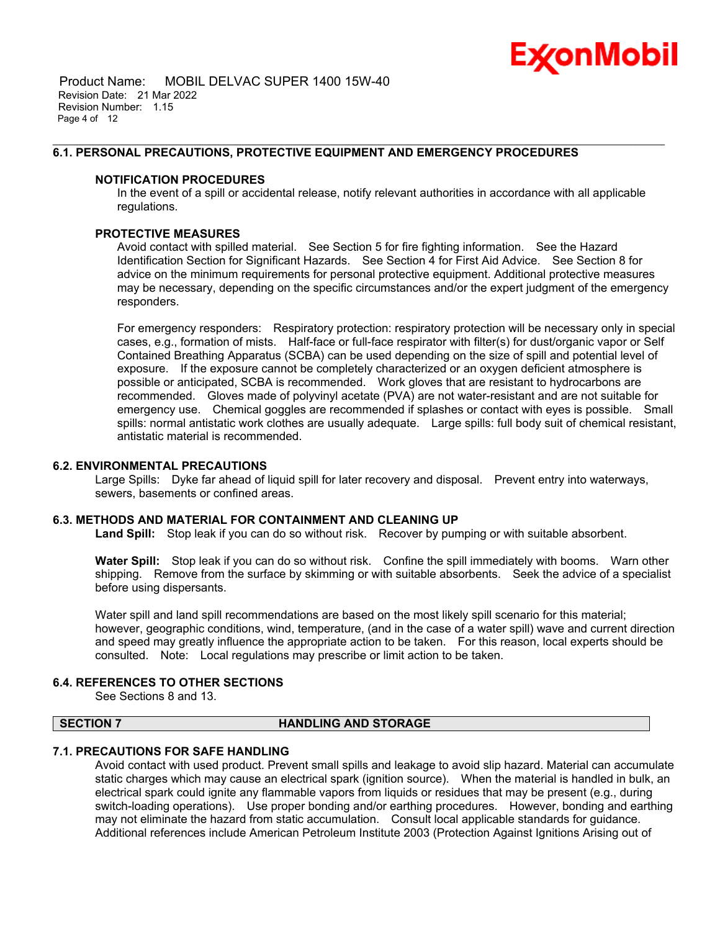

 Product Name: MOBIL DELVAC SUPER 1400 15W-40 Revision Date: 21 Mar 2022 Revision Number: 1.15 Page 4 of 12

#### **6.1. PERSONAL PRECAUTIONS, PROTECTIVE EQUIPMENT AND EMERGENCY PROCEDURES**

#### **NOTIFICATION PROCEDURES**

In the event of a spill or accidental release, notify relevant authorities in accordance with all applicable regulations.

\_\_\_\_\_\_\_\_\_\_\_\_\_\_\_\_\_\_\_\_\_\_\_\_\_\_\_\_\_\_\_\_\_\_\_\_\_\_\_\_\_\_\_\_\_\_\_\_\_\_\_\_\_\_\_\_\_\_\_\_\_\_\_\_\_\_\_\_\_\_\_\_\_\_\_\_\_\_\_\_\_\_\_\_\_\_\_\_\_\_\_\_\_\_\_\_\_\_\_\_\_\_\_\_\_\_\_\_\_\_\_\_\_\_\_\_\_

#### **PROTECTIVE MEASURES**

Avoid contact with spilled material. See Section 5 for fire fighting information. See the Hazard Identification Section for Significant Hazards. See Section 4 for First Aid Advice. See Section 8 for advice on the minimum requirements for personal protective equipment. Additional protective measures may be necessary, depending on the specific circumstances and/or the expert judgment of the emergency responders.

For emergency responders: Respiratory protection: respiratory protection will be necessary only in special cases, e.g., formation of mists. Half-face or full-face respirator with filter(s) for dust/organic vapor or Self Contained Breathing Apparatus (SCBA) can be used depending on the size of spill and potential level of exposure. If the exposure cannot be completely characterized or an oxygen deficient atmosphere is possible or anticipated, SCBA is recommended. Work gloves that are resistant to hydrocarbons are recommended. Gloves made of polyvinyl acetate (PVA) are not water-resistant and are not suitable for emergency use. Chemical goggles are recommended if splashes or contact with eyes is possible. Small spills: normal antistatic work clothes are usually adequate. Large spills: full body suit of chemical resistant, antistatic material is recommended.

#### **6.2. ENVIRONMENTAL PRECAUTIONS**

Large Spills: Dyke far ahead of liquid spill for later recovery and disposal. Prevent entry into waterways, sewers, basements or confined areas.

#### **6.3. METHODS AND MATERIAL FOR CONTAINMENT AND CLEANING UP**

**Land Spill:** Stop leak if you can do so without risk. Recover by pumping or with suitable absorbent.

**Water Spill:** Stop leak if you can do so without risk. Confine the spill immediately with booms. Warn other shipping. Remove from the surface by skimming or with suitable absorbents. Seek the advice of a specialist before using dispersants.

Water spill and land spill recommendations are based on the most likely spill scenario for this material; however, geographic conditions, wind, temperature, (and in the case of a water spill) wave and current direction and speed may greatly influence the appropriate action to be taken. For this reason, local experts should be consulted. Note: Local regulations may prescribe or limit action to be taken.

#### **6.4. REFERENCES TO OTHER SECTIONS**

See Sections 8 and 13.

#### **SECTION 7 HANDLING AND STORAGE**

#### **7.1. PRECAUTIONS FOR SAFE HANDLING**

Avoid contact with used product. Prevent small spills and leakage to avoid slip hazard. Material can accumulate static charges which may cause an electrical spark (ignition source). When the material is handled in bulk, an electrical spark could ignite any flammable vapors from liquids or residues that may be present (e.g., during switch-loading operations). Use proper bonding and/or earthing procedures. However, bonding and earthing may not eliminate the hazard from static accumulation. Consult local applicable standards for guidance. Additional references include American Petroleum Institute 2003 (Protection Against Ignitions Arising out of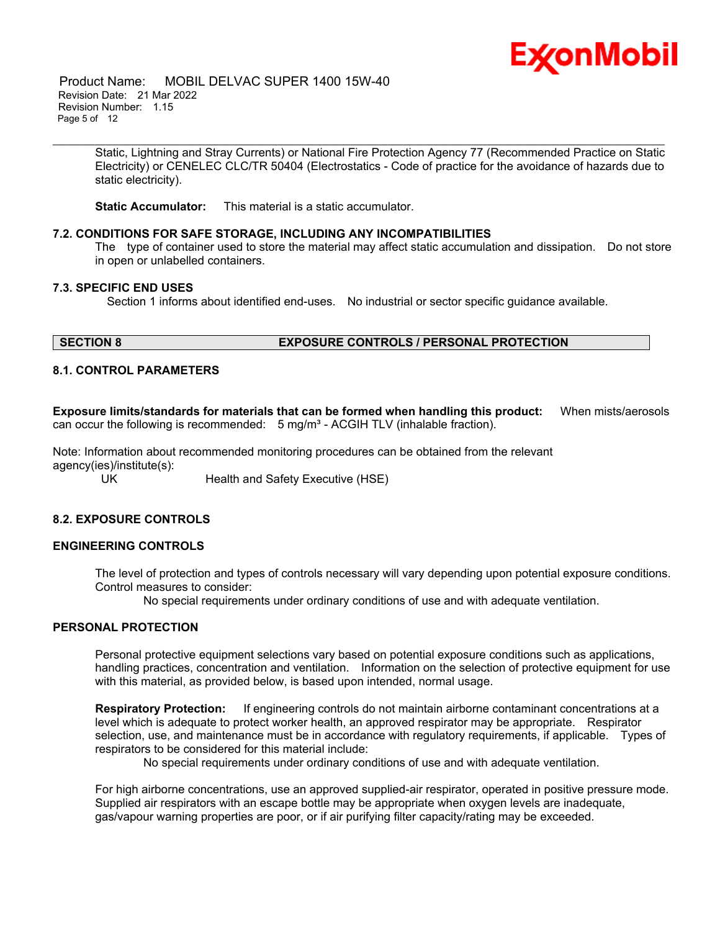

 Product Name: MOBIL DELVAC SUPER 1400 15W-40 Revision Date: 21 Mar 2022 Revision Number: 1.15 Page 5 of 12

> Static, Lightning and Stray Currents) or National Fire Protection Agency 77 (Recommended Practice on Static Electricity) or CENELEC CLC/TR 50404 (Electrostatics - Code of practice for the avoidance of hazards due to static electricity).

\_\_\_\_\_\_\_\_\_\_\_\_\_\_\_\_\_\_\_\_\_\_\_\_\_\_\_\_\_\_\_\_\_\_\_\_\_\_\_\_\_\_\_\_\_\_\_\_\_\_\_\_\_\_\_\_\_\_\_\_\_\_\_\_\_\_\_\_\_\_\_\_\_\_\_\_\_\_\_\_\_\_\_\_\_\_\_\_\_\_\_\_\_\_\_\_\_\_\_\_\_\_\_\_\_\_\_\_\_\_\_\_\_\_\_\_\_

**Static Accumulator:** This material is a static accumulator.

#### **7.2. CONDITIONS FOR SAFE STORAGE, INCLUDING ANY INCOMPATIBILITIES**

The type of container used to store the material may affect static accumulation and dissipation. Do not store in open or unlabelled containers.

#### **7.3. SPECIFIC END USES**

Section 1 informs about identified end-uses. No industrial or sector specific guidance available.

## **SECTION 8 EXPOSURE CONTROLS / PERSONAL PROTECTION**

#### **8.1. CONTROL PARAMETERS**

**Exposure limits/standards for materials that can be formed when handling this product:** When mists/aerosols can occur the following is recommended:  $5 \text{ mg/m}^3$  - ACGIH TLV (inhalable fraction).

Note: Information about recommended monitoring procedures can be obtained from the relevant agency(ies)/institute(s):

UK Health and Safety Executive (HSE)

## **8.2. EXPOSURE CONTROLS**

#### **ENGINEERING CONTROLS**

The level of protection and types of controls necessary will vary depending upon potential exposure conditions. Control measures to consider:

No special requirements under ordinary conditions of use and with adequate ventilation.

#### **PERSONAL PROTECTION**

Personal protective equipment selections vary based on potential exposure conditions such as applications, handling practices, concentration and ventilation. Information on the selection of protective equipment for use with this material, as provided below, is based upon intended, normal usage.

**Respiratory Protection:** If engineering controls do not maintain airborne contaminant concentrations at a level which is adequate to protect worker health, an approved respirator may be appropriate. Respirator selection, use, and maintenance must be in accordance with regulatory requirements, if applicable. Types of respirators to be considered for this material include:

No special requirements under ordinary conditions of use and with adequate ventilation.

For high airborne concentrations, use an approved supplied-air respirator, operated in positive pressure mode. Supplied air respirators with an escape bottle may be appropriate when oxygen levels are inadequate, gas/vapour warning properties are poor, or if air purifying filter capacity/rating may be exceeded.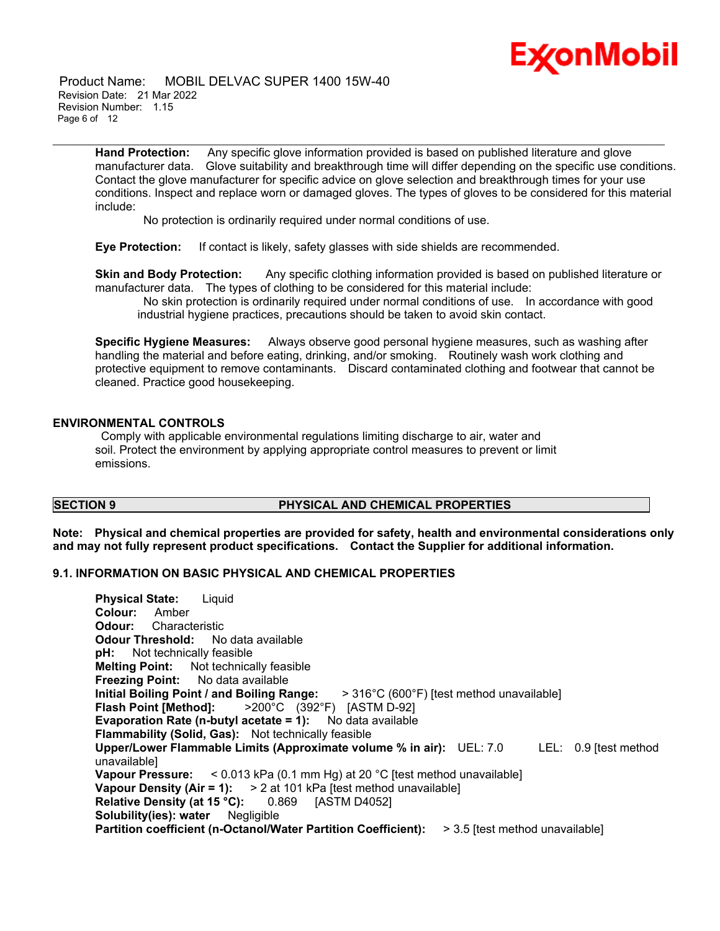

 Product Name: MOBIL DELVAC SUPER 1400 15W-40 Revision Date: 21 Mar 2022 Revision Number: 1.15 Page 6 of 12

> **Hand Protection:** Any specific glove information provided is based on published literature and glove manufacturer data. Glove suitability and breakthrough time will differ depending on the specific use conditions. Contact the glove manufacturer for specific advice on glove selection and breakthrough times for your use conditions. Inspect and replace worn or damaged gloves. The types of gloves to be considered for this material include:

\_\_\_\_\_\_\_\_\_\_\_\_\_\_\_\_\_\_\_\_\_\_\_\_\_\_\_\_\_\_\_\_\_\_\_\_\_\_\_\_\_\_\_\_\_\_\_\_\_\_\_\_\_\_\_\_\_\_\_\_\_\_\_\_\_\_\_\_\_\_\_\_\_\_\_\_\_\_\_\_\_\_\_\_\_\_\_\_\_\_\_\_\_\_\_\_\_\_\_\_\_\_\_\_\_\_\_\_\_\_\_\_\_\_\_\_\_

No protection is ordinarily required under normal conditions of use.

**Eye Protection:** If contact is likely, safety glasses with side shields are recommended.

**Skin and Body Protection:** Any specific clothing information provided is based on published literature or manufacturer data. The types of clothing to be considered for this material include:

No skin protection is ordinarily required under normal conditions of use. In accordance with good industrial hygiene practices, precautions should be taken to avoid skin contact.

**Specific Hygiene Measures:** Always observe good personal hygiene measures, such as washing after handling the material and before eating, drinking, and/or smoking. Routinely wash work clothing and protective equipment to remove contaminants. Discard contaminated clothing and footwear that cannot be cleaned. Practice good housekeeping.

#### **ENVIRONMENTAL CONTROLS**

Comply with applicable environmental regulations limiting discharge to air, water and soil. Protect the environment by applying appropriate control measures to prevent or limit emissions.

#### **SECTION 9 PHYSICAL AND CHEMICAL PROPERTIES**

**Note: Physical and chemical properties are provided for safety, health and environmental considerations only and may not fully represent product specifications. Contact the Supplier for additional information.**

#### **9.1. INFORMATION ON BASIC PHYSICAL AND CHEMICAL PROPERTIES**

**Physical State:** Liquid **Colour:** Amber **Odour:** Characteristic **Odour Threshold:** No data available **pH:** Not technically feasible **Melting Point:** Not technically feasible **Freezing Point:** No data available **Initial Boiling Point / and Boiling Range:** > 316°C (600°F) [test method unavailable] **Flash Point [Method]:** >200°C (392°F) [ASTM D-92] **Evaporation Rate (n-butyl acetate = 1):** No data available **Flammability (Solid, Gas):** Not technically feasible **Upper/Lower Flammable Limits (Approximate volume % in air):** UEL: 7.0 LEL: 0.9 [test method unavailable] **Vapour Pressure:** < 0.013 kPa (0.1 mm Hg) at 20 °C [test method unavailable] **Vapour Density (Air = 1):** > 2 at 101 kPa [test method unavailable] **Relative Density (at 15 °C):** 0.869 [ASTM D4052] **Solubility(ies): water** Negligible **Partition coefficient (n-Octanol/Water Partition Coefficient):** > 3.5 [test method unavailable]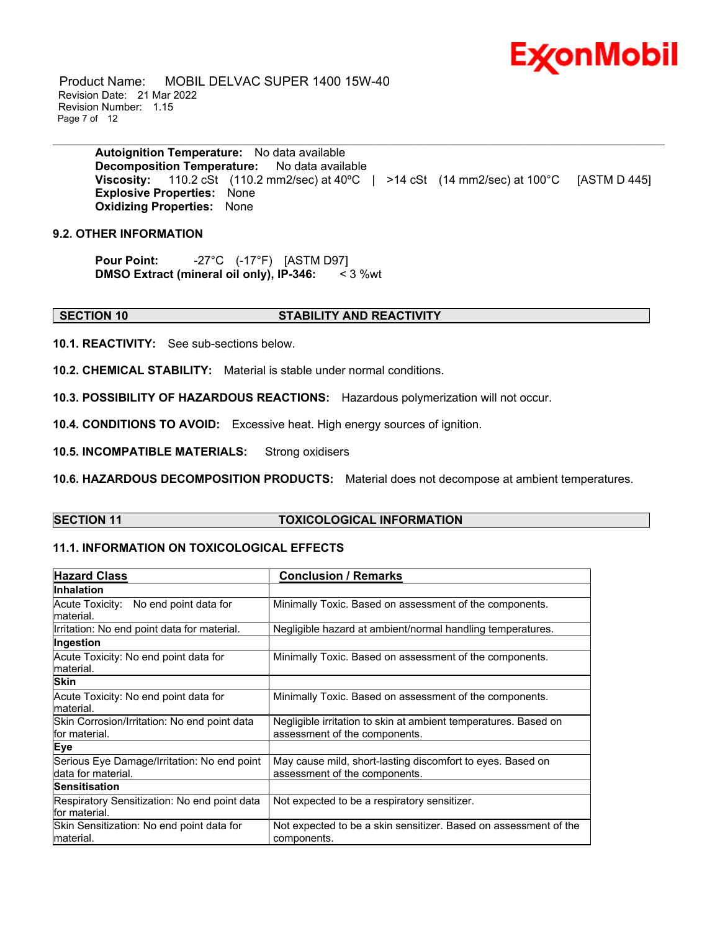# Ex⁄onMobil

 Product Name: MOBIL DELVAC SUPER 1400 15W-40 Revision Date: 21 Mar 2022 Revision Number: 1.15 Page 7 of 12

> **Autoignition Temperature:** No data available **Decomposition Temperature:** No data available **Viscosity:** 110.2 cSt (110.2 mm2/sec) at 40°C | >14 cSt (14 mm2/sec) at 100°C [ASTM D 445] **Explosive Properties:** None **Oxidizing Properties:** None

\_\_\_\_\_\_\_\_\_\_\_\_\_\_\_\_\_\_\_\_\_\_\_\_\_\_\_\_\_\_\_\_\_\_\_\_\_\_\_\_\_\_\_\_\_\_\_\_\_\_\_\_\_\_\_\_\_\_\_\_\_\_\_\_\_\_\_\_\_\_\_\_\_\_\_\_\_\_\_\_\_\_\_\_\_\_\_\_\_\_\_\_\_\_\_\_\_\_\_\_\_\_\_\_\_\_\_\_\_\_\_\_\_\_\_\_\_

#### **9.2. OTHER INFORMATION**

**Pour Point:** -27°C (-17°F) [ASTM D97] **DMSO Extract (mineral oil only), IP-346:** < 3 %wt

#### **SECTION 10 STABILITY AND REACTIVITY**

**10.1. REACTIVITY:** See sub-sections below.

**10.2. CHEMICAL STABILITY:** Material is stable under normal conditions.

**10.3. POSSIBILITY OF HAZARDOUS REACTIONS:** Hazardous polymerization will not occur.

**10.4. CONDITIONS TO AVOID:** Excessive heat. High energy sources of ignition.

**10.5. INCOMPATIBLE MATERIALS:** Strong oxidisers

**10.6. HAZARDOUS DECOMPOSITION PRODUCTS:** Material does not decompose at ambient temperatures.

## **SECTION 11 TOXICOLOGICAL INFORMATION**

#### **11.1. INFORMATION ON TOXICOLOGICAL EFFECTS**

| <b>Hazard Class</b>                                               | <b>Conclusion / Remarks</b>                                                                      |
|-------------------------------------------------------------------|--------------------------------------------------------------------------------------------------|
| <b>Inhalation</b>                                                 |                                                                                                  |
| Acute Toxicity: No end point data for<br>material.                | Minimally Toxic. Based on assessment of the components.                                          |
| Irritation: No end point data for material.                       | Negligible hazard at ambient/normal handling temperatures.                                       |
| Ingestion                                                         |                                                                                                  |
| Acute Toxicity: No end point data for<br>material.                | Minimally Toxic. Based on assessment of the components.                                          |
| <b>Skin</b>                                                       |                                                                                                  |
| Acute Toxicity: No end point data for<br>material.                | Minimally Toxic. Based on assessment of the components.                                          |
| Skin Corrosion/Irritation: No end point data<br>for material.     | Negligible irritation to skin at ambient temperatures. Based on<br>assessment of the components. |
| <b>Eye</b>                                                        |                                                                                                  |
| Serious Eye Damage/Irritation: No end point<br>data for material. | May cause mild, short-lasting discomfort to eyes. Based on<br>assessment of the components.      |
| Sensitisation                                                     |                                                                                                  |
| Respiratory Sensitization: No end point data<br>for material.     | Not expected to be a respiratory sensitizer.                                                     |
| Skin Sensitization: No end point data for<br>material.            | Not expected to be a skin sensitizer. Based on assessment of the<br>components.                  |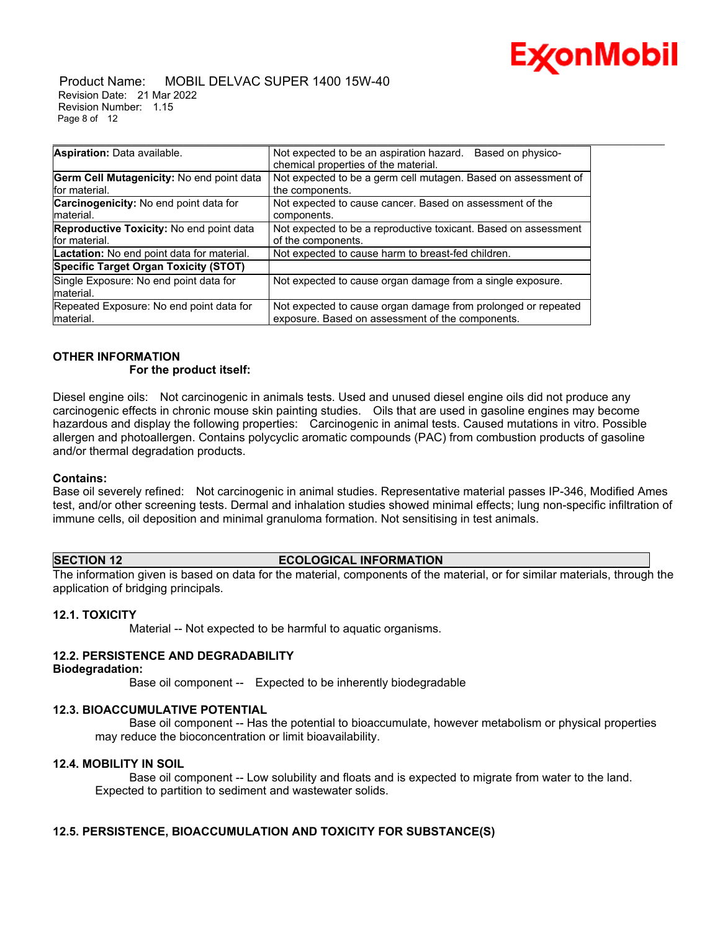

#### Product Name: MOBIL DELVAC SUPER 1400 15W-40 Revision Date: 21 Mar 2022 Revision Number: 1.15 Page 8 of 12

| Aspiration: Data available.                   | Not expected to be an aspiration hazard.<br>Based on physico-   |
|-----------------------------------------------|-----------------------------------------------------------------|
|                                               | chemical properties of the material.                            |
| Germ Cell Mutagenicity: No end point data     | Not expected to be a germ cell mutagen. Based on assessment of  |
| for material.                                 | the components.                                                 |
| <b>Carcinogenicity:</b> No end point data for | Not expected to cause cancer. Based on assessment of the        |
| Imaterial.                                    | components.                                                     |
| Reproductive Toxicity: No end point data      | Not expected to be a reproductive toxicant. Based on assessment |
| for material.                                 | of the components.                                              |
| Lactation: No end point data for material.    | Not expected to cause harm to breast-fed children.              |
| Specific Target Organ Toxicity (STOT)         |                                                                 |
| Single Exposure: No end point data for        | Not expected to cause organ damage from a single exposure.      |
| Imaterial.                                    |                                                                 |
| Repeated Exposure: No end point data for      | Not expected to cause organ damage from prolonged or repeated   |
| Imaterial.                                    | exposure. Based on assessment of the components.                |

#### **OTHER INFORMATION For the product itself:**

Diesel engine oils: Not carcinogenic in animals tests. Used and unused diesel engine oils did not produce any carcinogenic effects in chronic mouse skin painting studies. Oils that are used in gasoline engines may become hazardous and display the following properties: Carcinogenic in animal tests. Caused mutations in vitro. Possible allergen and photoallergen. Contains polycyclic aromatic compounds (PAC) from combustion products of gasoline and/or thermal degradation products.

#### **Contains:**

Base oil severely refined: Not carcinogenic in animal studies. Representative material passes IP-346, Modified Ames test, and/or other screening tests. Dermal and inhalation studies showed minimal effects; lung non-specific infiltration of immune cells, oil deposition and minimal granuloma formation. Not sensitising in test animals.

#### **SECTION 12 ECOLOGICAL INFORMATION**

The information given is based on data for the material, components of the material, or for similar materials, through the application of bridging principals.

## **12.1. TOXICITY**

Material -- Not expected to be harmful to aquatic organisms.

## **12.2. PERSISTENCE AND DEGRADABILITY**

**Biodegradation:**

Base oil component -- Expected to be inherently biodegradable

#### **12.3. BIOACCUMULATIVE POTENTIAL**

 Base oil component -- Has the potential to bioaccumulate, however metabolism or physical properties may reduce the bioconcentration or limit bioavailability.

#### **12.4. MOBILITY IN SOIL**

 Base oil component -- Low solubility and floats and is expected to migrate from water to the land. Expected to partition to sediment and wastewater solids.

## **12.5. PERSISTENCE, BIOACCUMULATION AND TOXICITY FOR SUBSTANCE(S)**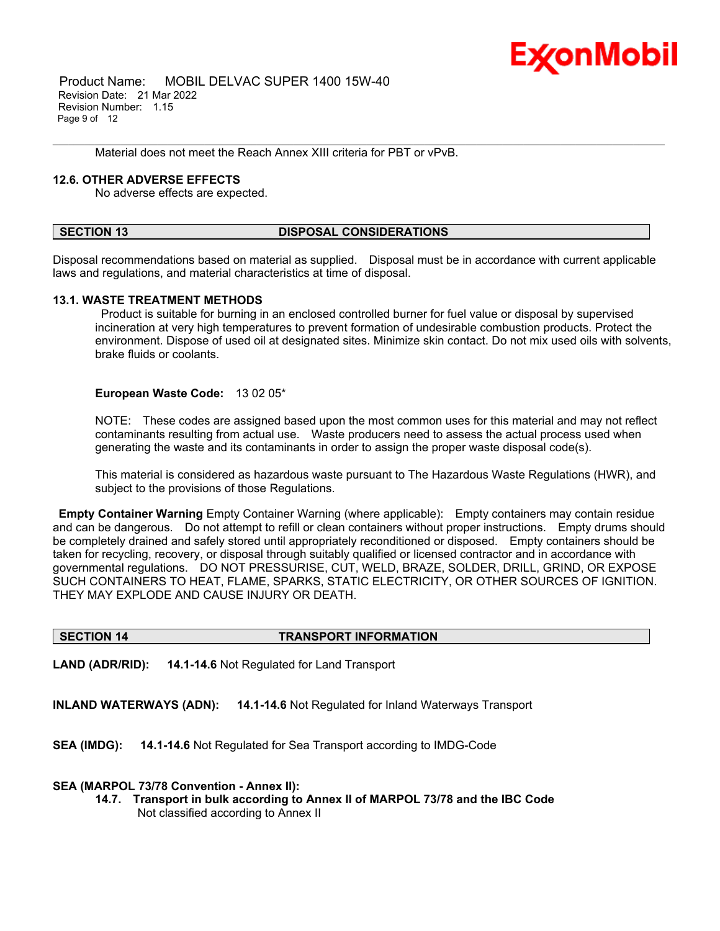

 Product Name: MOBIL DELVAC SUPER 1400 15W-40 Revision Date: 21 Mar 2022 Revision Number: 1.15 Page 9 of 12

Material does not meet the Reach Annex XIII criteria for PBT or vPvB.

#### **12.6. OTHER ADVERSE EFFECTS**

No adverse effects are expected.

#### **SECTION 13 DISPOSAL CONSIDERATIONS**

Disposal recommendations based on material as supplied. Disposal must be in accordance with current applicable laws and regulations, and material characteristics at time of disposal.

\_\_\_\_\_\_\_\_\_\_\_\_\_\_\_\_\_\_\_\_\_\_\_\_\_\_\_\_\_\_\_\_\_\_\_\_\_\_\_\_\_\_\_\_\_\_\_\_\_\_\_\_\_\_\_\_\_\_\_\_\_\_\_\_\_\_\_\_\_\_\_\_\_\_\_\_\_\_\_\_\_\_\_\_\_\_\_\_\_\_\_\_\_\_\_\_\_\_\_\_\_\_\_\_\_\_\_\_\_\_\_\_\_\_\_\_\_

#### **13.1. WASTE TREATMENT METHODS**

Product is suitable for burning in an enclosed controlled burner for fuel value or disposal by supervised incineration at very high temperatures to prevent formation of undesirable combustion products. Protect the environment. Dispose of used oil at designated sites. Minimize skin contact. Do not mix used oils with solvents, brake fluids or coolants.

#### **European Waste Code:** 13 02 05\*

NOTE: These codes are assigned based upon the most common uses for this material and may not reflect contaminants resulting from actual use. Waste producers need to assess the actual process used when generating the waste and its contaminants in order to assign the proper waste disposal code(s).

This material is considered as hazardous waste pursuant to The Hazardous Waste Regulations (HWR), and subject to the provisions of those Regulations.

**Empty Container Warning** Empty Container Warning (where applicable): Empty containers may contain residue and can be dangerous. Do not attempt to refill or clean containers without proper instructions. Empty drums should be completely drained and safely stored until appropriately reconditioned or disposed. Empty containers should be taken for recycling, recovery, or disposal through suitably qualified or licensed contractor and in accordance with governmental regulations. DO NOT PRESSURISE, CUT, WELD, BRAZE, SOLDER, DRILL, GRIND, OR EXPOSE SUCH CONTAINERS TO HEAT, FLAME, SPARKS, STATIC ELECTRICITY, OR OTHER SOURCES OF IGNITION. THEY MAY EXPLODE AND CAUSE INJURY OR DEATH.

#### **SECTION 14 TRANSPORT INFORMATION**

**LAND (ADR/RID): 14.1-14.6** Not Regulated for Land Transport

**INLAND WATERWAYS (ADN): 14.1-14.6** Not Regulated for Inland Waterways Transport

**SEA (IMDG): 14.1-14.6** Not Regulated for Sea Transport according to IMDG-Code

#### **SEA (MARPOL 73/78 Convention - Annex II):**

**14.7. Transport in bulk according to Annex II of MARPOL 73/78 and the IBC Code** Not classified according to Annex II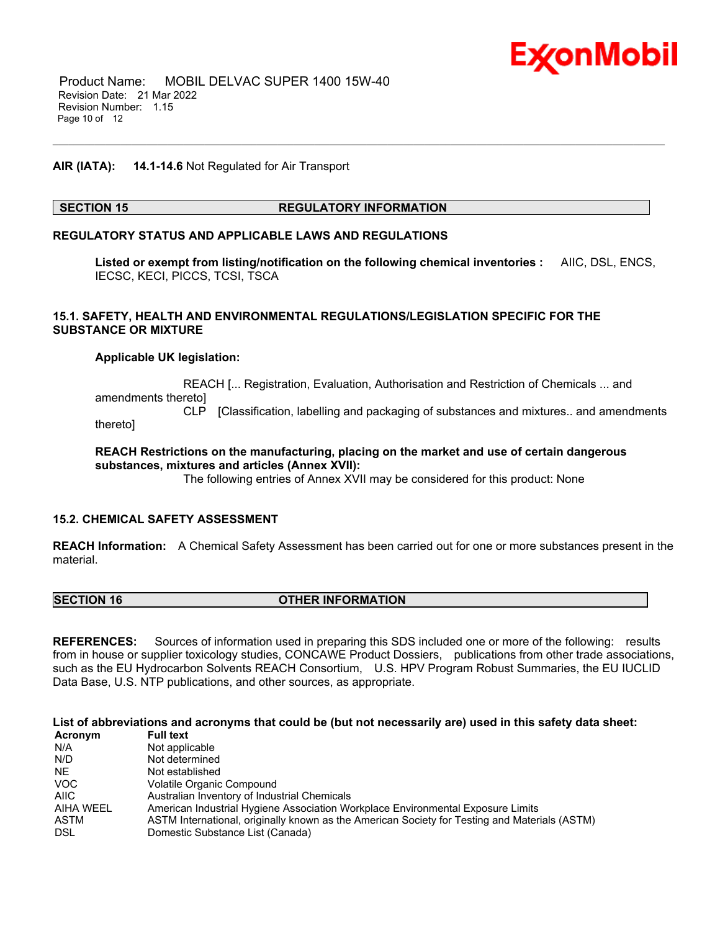

#### **AIR (IATA): 14.1-14.6** Not Regulated for Air Transport

#### **SECTION 15 REGULATORY INFORMATION**

\_\_\_\_\_\_\_\_\_\_\_\_\_\_\_\_\_\_\_\_\_\_\_\_\_\_\_\_\_\_\_\_\_\_\_\_\_\_\_\_\_\_\_\_\_\_\_\_\_\_\_\_\_\_\_\_\_\_\_\_\_\_\_\_\_\_\_\_\_\_\_\_\_\_\_\_\_\_\_\_\_\_\_\_\_\_\_\_\_\_\_\_\_\_\_\_\_\_\_\_\_\_\_\_\_\_\_\_\_\_\_\_\_\_\_\_\_

#### **REGULATORY STATUS AND APPLICABLE LAWS AND REGULATIONS**

**Listed or exempt from listing/notification on the following chemical inventories :** AIIC, DSL, ENCS, IECSC, KECI, PICCS, TCSI, TSCA

#### **15.1. SAFETY, HEALTH AND ENVIRONMENTAL REGULATIONS/LEGISLATION SPECIFIC FOR THE SUBSTANCE OR MIXTURE**

#### **Applicable UK legislation:**

 REACH [... Registration, Evaluation, Authorisation and Restriction of Chemicals ... and amendments thereto] CLP [Classification, labelling and packaging of substances and mixtures.. and amendments

thereto]

#### **REACH Restrictions on the manufacturing, placing on the market and use of certain dangerous substances, mixtures and articles (Annex XVII):**

The following entries of Annex XVII may be considered for this product: None

#### **15.2. CHEMICAL SAFETY ASSESSMENT**

**REACH Information:** A Chemical Safety Assessment has been carried out for one or more substances present in the material.

| <b>SECTION 16</b> | <b>OTHER INFORMATION</b> |  |
|-------------------|--------------------------|--|
|                   |                          |  |

**REFERENCES:** Sources of information used in preparing this SDS included one or more of the following: results from in house or supplier toxicology studies, CONCAWE Product Dossiers, publications from other trade associations, such as the EU Hydrocarbon Solvents REACH Consortium, U.S. HPV Program Robust Summaries, the EU IUCLID Data Base, U.S. NTP publications, and other sources, as appropriate.

List of abbreviations and acronyms that could be (but not necessarily are) used in this safety data sheet:

| Acronym     | <b>Full text</b>                                                                              |
|-------------|-----------------------------------------------------------------------------------------------|
| N/A         | Not applicable                                                                                |
| N/D         | Not determined                                                                                |
| NE.         | Not established                                                                               |
| VOC.        | Volatile Organic Compound                                                                     |
| <b>AIIC</b> | Australian Inventory of Industrial Chemicals                                                  |
| AIHA WEEL   | American Industrial Hygiene Association Workplace Environmental Exposure Limits               |
| ASTM        | ASTM International, originally known as the American Society for Testing and Materials (ASTM) |
| DSL         | Domestic Substance List (Canada)                                                              |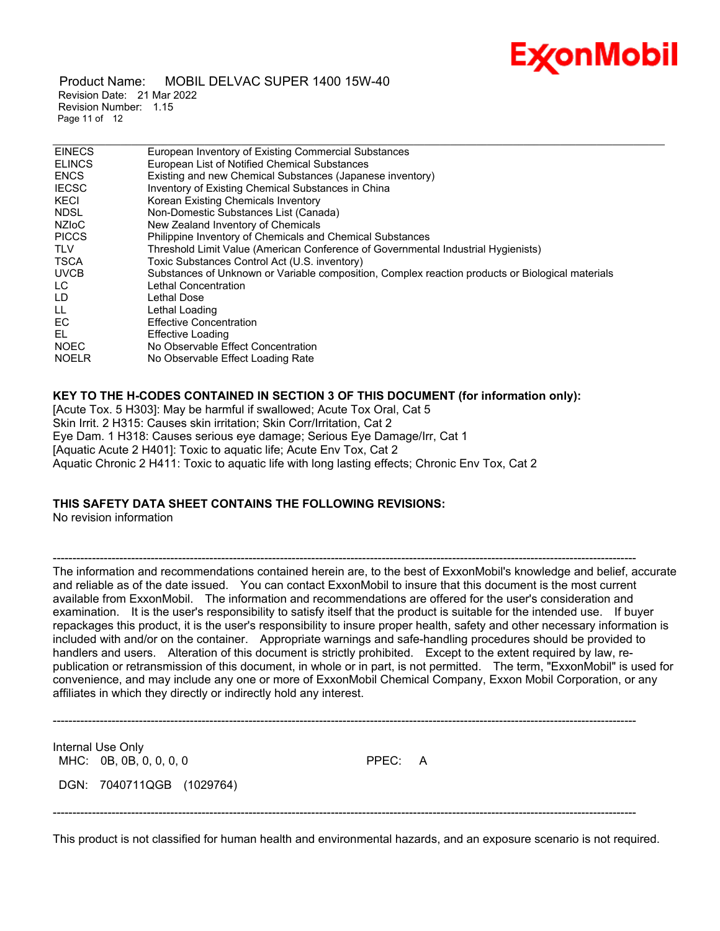

 Product Name: MOBIL DELVAC SUPER 1400 15W-40 Revision Date: 21 Mar 2022 Revision Number: 1.15 Page 11 of 12

| <b>EINECS</b> | European Inventory of Existing Commercial Substances                                             |
|---------------|--------------------------------------------------------------------------------------------------|
| <b>ELINCS</b> | European List of Notified Chemical Substances                                                    |
| <b>ENCS</b>   | Existing and new Chemical Substances (Japanese inventory)                                        |
| <b>IECSC</b>  | Inventory of Existing Chemical Substances in China                                               |
| KECI          | Korean Existing Chemicals Inventory                                                              |
| <b>NDSL</b>   | Non-Domestic Substances List (Canada)                                                            |
| <b>NZIOC</b>  | New Zealand Inventory of Chemicals                                                               |
| <b>PICCS</b>  | Philippine Inventory of Chemicals and Chemical Substances                                        |
| <b>TLV</b>    | Threshold Limit Value (American Conference of Governmental Industrial Hygienists)                |
| <b>TSCA</b>   | Toxic Substances Control Act (U.S. inventory)                                                    |
| <b>UVCB</b>   | Substances of Unknown or Variable composition, Complex reaction products or Biological materials |
| LC.           | Lethal Concentration                                                                             |
| LD            | Lethal Dose                                                                                      |
| LL.           | Lethal Loading                                                                                   |
| EC            | <b>Effective Concentration</b>                                                                   |
| EL            | <b>Effective Loading</b>                                                                         |
| <b>NOEC</b>   | No Observable Effect Concentration                                                               |
| <b>NOELR</b>  | No Observable Effect Loading Rate                                                                |

## **KEY TO THE H-CODES CONTAINED IN SECTION 3 OF THIS DOCUMENT (for information only):**

[Acute Tox. 5 H303]: May be harmful if swallowed; Acute Tox Oral, Cat 5 Skin Irrit. 2 H315: Causes skin irritation; Skin Corr/Irritation, Cat 2 Eye Dam. 1 H318: Causes serious eye damage; Serious Eye Damage/Irr, Cat 1 [Aquatic Acute 2 H401]: Toxic to aquatic life; Acute Env Tox, Cat 2 Aquatic Chronic 2 H411: Toxic to aquatic life with long lasting effects; Chronic Env Tox, Cat 2

## **THIS SAFETY DATA SHEET CONTAINS THE FOLLOWING REVISIONS:**

No revision information

----------------------------------------------------------------------------------------------------------------------------------------------------- The information and recommendations contained herein are, to the best of ExxonMobil's knowledge and belief, accurate and reliable as of the date issued. You can contact ExxonMobil to insure that this document is the most current available from ExxonMobil. The information and recommendations are offered for the user's consideration and examination. It is the user's responsibility to satisfy itself that the product is suitable for the intended use. If buyer repackages this product, it is the user's responsibility to insure proper health, safety and other necessary information is included with and/or on the container. Appropriate warnings and safe-handling procedures should be provided to handlers and users. Alteration of this document is strictly prohibited. Except to the extent required by law, republication or retransmission of this document, in whole or in part, is not permitted. The term, "ExxonMobil" is used for convenience, and may include any one or more of ExxonMobil Chemical Company, Exxon Mobil Corporation, or any affiliates in which they directly or indirectly hold any interest.

Internal Use Only MHC: 0B, 0B, 0, 0, 0, 0 PPEC: A DGN: 7040711QGB (1029764)

-----------------------------------------------------------------------------------------------------------------------------------------------------

-----------------------------------------------------------------------------------------------------------------------------------------------------

This product is not classified for human health and environmental hazards, and an exposure scenario is not required.